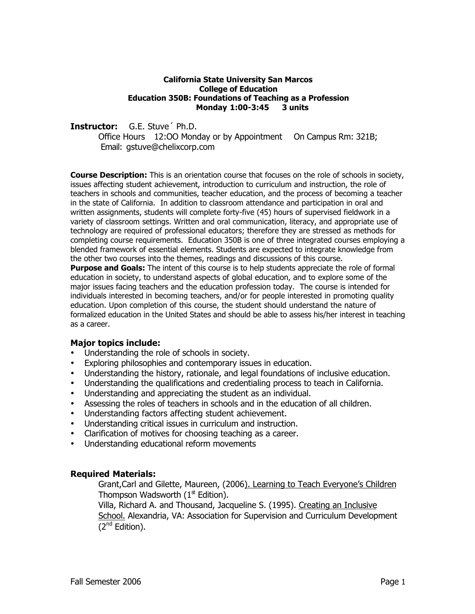### **California State University San Marcos College of Education Education 350B: Foundations of Teaching as a Profession Monday 1:00-3:45 3 units**

**Instructor:** G.E. Stuve´ Ph.D.

Office Hours 12:OO Monday or by Appointment On Campus Rm: 321B; Email: gstuve@chelixcorp.com

**Course Description:** This is an orientation course that focuses on the role of schools in society, issues affecting student achievement, introduction to curriculum and instruction, the role of teachers in schools and communities, teacher education, and the process of becoming a teacher in the state of California. In addition to classroom attendance and participation in oral and written assignments, students will complete forty-five (45) hours of supervised fieldwork in a variety of classroom settings. Written and oral communication, literacy, and appropriate use of technology are required of professional educators; therefore they are stressed as methods for completing course requirements. Education 350B is one of three integrated courses employing a blended framework of essential elements. Students are expected to integrate knowledge from the other two courses into the themes, readings and discussions of this course.

**Purpose and Goals:** The intent of this course is to help students appreciate the role of formal education in society, to understand aspects of global education, and to explore some of the major issues facing teachers and the education profession today. The course is intended for individuals interested in becoming teachers, and/or for people interested in promoting quality education. Upon completion of this course, the student should understand the nature of formalized education in the United States and should be able to assess his/her interest in teaching as a career.

## **Major topics include:**

Understanding the role of schools in society.

Exploring philosophies and contemporary issues in education.

Understanding the history, rationale, and legal foundations of inclusive education.

Understanding the qualifications and credentialing process to teach in California.

Understanding and appreciating the student as an individual.

Assessing the roles of teachers in schools and in the education of all children.

Understanding factors affecting student achievement.

Understanding critical issues in curriculum and instruction.

Clarification of motives for choosing teaching as a career.

Understanding educational reform movements

## **Required Materials:**

Grant,Carl and Gilette, Maureen, (2006). Learning to Teach Everyone's Children Thompson Wadsworth  $(1<sup>st</sup>$  Edition).

Villa, Richard A. and Thousand, Jacqueline S. (1995). Creating an Inclusive School. Alexandria, VA: Association for Supervision and Curriculum Development (2nd Edition).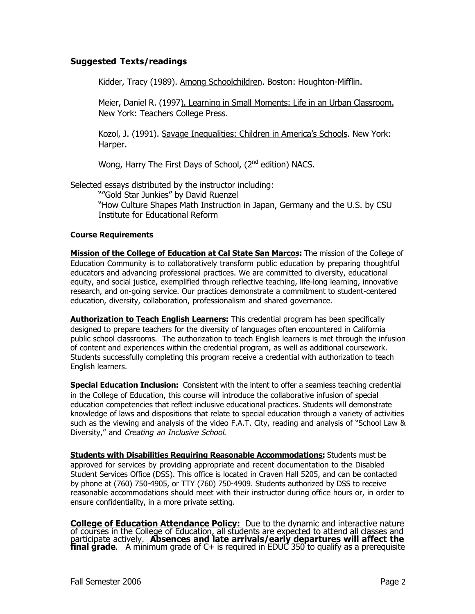## **Suggested Texts/readings**

Kidder, Tracy (1989). Among Schoolchildren. Boston: Houghton-Mifflin.

Meier, Daniel R. (1997). Learning in Small Moments: Life in an Urban Classroom. New York: Teachers College Press.

Kozol, J. (1991). Savage Inequalities: Children in America's Schools. New York: Harper.

Wong, Harry The First Days of School, (2<sup>nd</sup> edition) NACS.

Selected essays distributed by the instructor including: ""Gold Star Junkies" by David Ruenzel "How Culture Shapes Math Instruction in Japan, Germany and the U.S. by CSU Institute for Educational Reform

## **Course Requirements**

**Mission of the College of Education at Cal State San Marcos:** The mission of the College of Education Community is to collaboratively transform public education by preparing thoughtful educators and advancing professional practices. We are committed to diversity, educational equity, and social justice, exemplified through reflective teaching, life-long learning, innovative research, and on-going service. Our practices demonstrate a commitment to student-centered education, diversity, collaboration, professionalism and shared governance.

**Authorization to Teach English Learners:** This credential program has been specifically designed to prepare teachers for the diversity of languages often encountered in California public school classrooms. The authorization to teach English learners is met through the infusion of content and experiences within the credential program, as well as additional coursework. Students successfully completing this program receive a credential with authorization to teach English learners.

**Special Education Inclusion:** Consistent with the intent to offer a seamless teaching credential in the College of Education, this course will introduce the collaborative infusion of special education competencies that reflect inclusive educational practices. Students will demonstrate knowledge of laws and dispositions that relate to special education through a variety of activities such as the viewing and analysis of the video F.A.T. City, reading and analysis of "School Law & Diversity," and Creating an Inclusive School.

**Students with Disabilities Requiring Reasonable Accommodations:** Students must be approved for services by providing appropriate and recent documentation to the Disabled Student Services Office (DSS). This office is located in Craven Hall 5205, and can be contacted by phone at (760) 750-4905, or TTY (760) 750-4909. Students authorized by DSS to receive reasonable accommodations should meet with their instructor during office hours or, in order to ensure confidentiality, in a more private setting.

**College of Education Attendance Policy:** Due to the dynamic and interactive nature<br>of courses in the College of Education, all students are expected to attend all classes and participate actively. **Absences and late arrivals/early departures will affect the final grade**. A minimum grade of C+ is required in EDUC 350 to qualify as a prerequisite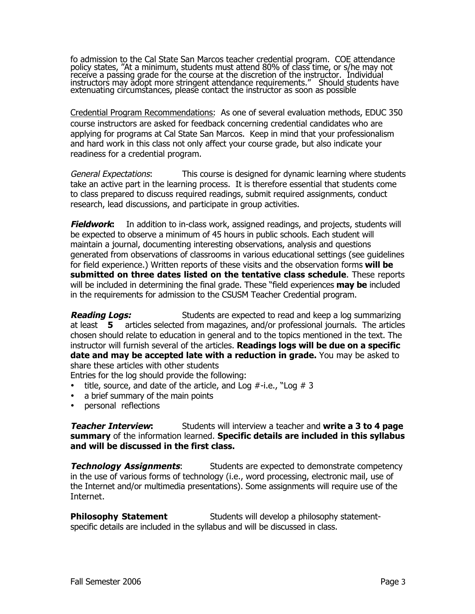fo admission to the Cal State San Marcos teacher credential program. COE attendance policy states, "At a minimum, students must attend 80% of class time, or s/he may not receive a passing grade for the course at the discretion of the instructor. Individual instructors may adopt more stringent attendance requirements." Should students have extenuating circumstances, please contact the instructor as soon as possible

Credential Program Recommendations: As one of several evaluation methods, EDUC 350 course instructors are asked for feedback concerning credential candidates who are applying for programs at Cal State San Marcos. Keep in mind that your professionalism and hard work in this class not only affect your course grade, but also indicate your readiness for a credential program.

General Expectations: This course is designed for dynamic learning where students take an active part in the learning process. It is therefore essential that students come to class prepared to discuss required readings, submit required assignments, conduct research, lead discussions, and participate in group activities.

**Fieldwork:** In addition to in-class work, assigned readings, and projects, students will be expected to observe a minimum of 45 hours in public schools. Each student will maintain a journal, documenting interesting observations, analysis and questions generated from observations of classrooms in various educational settings (see guidelines for field experience.) Written reports of these visits and the observation forms **will be submitted on three dates listed on the tentative class schedule**. These reports will be included in determining the final grade. These "field experiences **may be** included in the requirements for admission to the CSUSM Teacher Credential program.

**Reading Logs:** Students are expected to read and keep a log summarizing at least **5** articles selected from magazines, and/or professional journals. The articles chosen should relate to education in general and to the topics mentioned in the text. The instructor will furnish several of the articles. **Readings logs will be due on a specific date and may be accepted late with a reduction in grade.** You may be asked to share these articles with other students

Entries for the log should provide the following: title, source, and date of the article, and Log  $#$ -i.e., "Log  $#$  3 a brief summary of the main points personal reflections

**Teacher Interview:** Students will interview a teacher and **write a 3 to 4 page summary** of the information learned. **Specific details are included in this syllabus and will be discussed in the first class.**

**Technology Assignments:** Students are expected to demonstrate competency in the use of various forms of technology (i.e., word processing, electronic mail, use of the Internet and/or multimedia presentations). Some assignments will require use of the Internet.

**Philosophy Statement** Students will develop a philosophy statementspecific details are included in the syllabus and will be discussed in class.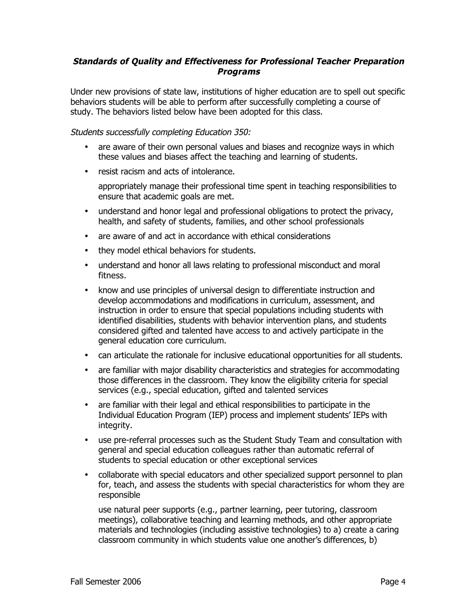## **Standards of Quality and Effectiveness for Professional Teacher Preparation Programs**

Under new provisions of state law, institutions of higher education are to spell out specific behaviors students will be able to perform after successfully completing a course of study. The behaviors listed below have been adopted for this class.

## Students successfully completing Education 350:

are aware of their own personal values and biases and recognize ways in which these values and biases affect the teaching and learning of students.

resist racism and acts of intolerance.

appropriately manage their professional time spent in teaching responsibilities to ensure that academic goals are met.

understand and honor legal and professional obligations to protect the privacy, health, and safety of students, families, and other school professionals

are aware of and act in accordance with ethical considerations

they model ethical behaviors for students.

understand and honor all laws relating to professional misconduct and moral fitness.

know and use principles of universal design to differentiate instruction and develop accommodations and modifications in curriculum, assessment, and instruction in order to ensure that special populations including students with identified disabilities, students with behavior intervention plans, and students considered gifted and talented have access to and actively participate in the general education core curriculum.

can articulate the rationale for inclusive educational opportunities for all students.

are familiar with major disability characteristics and strategies for accommodating those differences in the classroom. They know the eligibility criteria for special services (e.g., special education, gifted and talented services

are familiar with their legal and ethical responsibilities to participate in the Individual Education Program (IEP) process and implement students' IEPs with integrity.

use pre-referral processes such as the Student Study Team and consultation with general and special education colleagues rather than automatic referral of students to special education or other exceptional services

collaborate with special educators and other specialized support personnel to plan for, teach, and assess the students with special characteristics for whom they are responsible

use natural peer supports (e.g., partner learning, peer tutoring, classroom meetings), collaborative teaching and learning methods, and other appropriate materials and technologies (including assistive technologies) to a) create a caring classroom community in which students value one another's differences, b)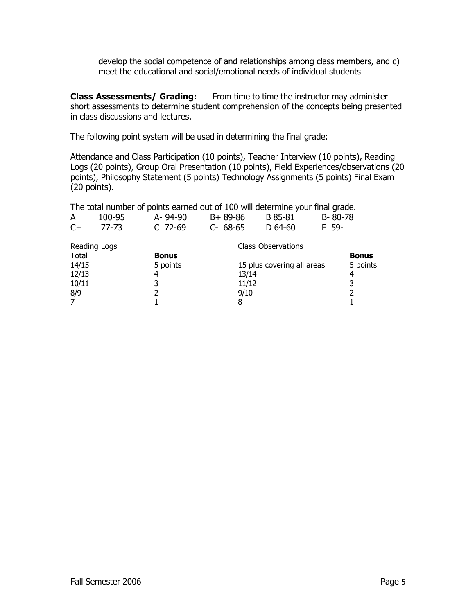develop the social competence of and relationships among class members, and c) meet the educational and social/emotional needs of individual students

**Class Assessments/ Grading:** From time to time the instructor may administer short assessments to determine student comprehension of the concepts being presented in class discussions and lectures.

The following point system will be used in determining the final grade:

Attendance and Class Participation (10 points), Teacher Interview (10 points), Reading Logs (20 points), Group Oral Presentation (10 points), Field Experiences/observations (20 points), Philosophy Statement (5 points) Technology Assignments (5 points) Final Exam (20 points).

| The total number of points earned out of 100 will determine your final grade. |                                           |              |          |       |                            |         |              |
|-------------------------------------------------------------------------------|-------------------------------------------|--------------|----------|-------|----------------------------|---------|--------------|
| A                                                                             | 100-95                                    | A-94-90      | B+89-86  |       | B 85-81                    | B-80-78 |              |
| $C+$                                                                          | 77-73                                     | C 72-69      | C- 68-65 |       | $D$ 64-60                  | F 59-   |              |
|                                                                               | <b>Class Observations</b><br>Reading Logs |              |          |       |                            |         |              |
| Total                                                                         |                                           | <b>Bonus</b> |          |       |                            |         | <b>Bonus</b> |
| 14/15                                                                         |                                           | 5 points     |          |       | 15 plus covering all areas |         | 5 points     |
| 12/13                                                                         |                                           | 4            |          | 13/14 |                            |         | 4            |
| 10/11                                                                         |                                           | 3            |          | 11/12 |                            |         | 3            |
| 8/9                                                                           |                                           | 2            |          | 9/10  |                            |         |              |
| $\overline{7}$                                                                |                                           |              |          | 8     |                            |         |              |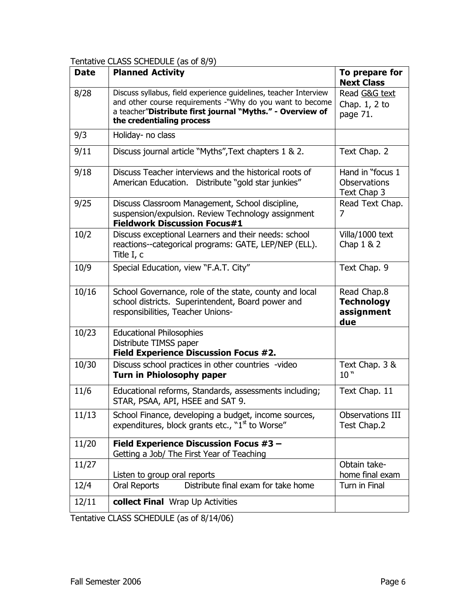## Tentative CLASS SCHEDULE (as of 8/9)

| <b>Date</b> | <b>Planned Activity</b>                                                                                                                                                                                                 | To prepare for<br><b>Next Class</b>                    |
|-------------|-------------------------------------------------------------------------------------------------------------------------------------------------------------------------------------------------------------------------|--------------------------------------------------------|
| 8/28        | Discuss syllabus, field experience guidelines, teacher Interview<br>and other course requirements -"Why do you want to become<br>a teacher"Distribute first journal "Myths." - Overview of<br>the credentialing process | Read G&G text<br>Chap. $1, 2$ to<br>page 71.           |
| 9/3         | Holiday- no class                                                                                                                                                                                                       |                                                        |
| 9/11        | Discuss journal article "Myths", Text chapters 1 & 2.                                                                                                                                                                   | Text Chap. 2                                           |
| 9/18        | Discuss Teacher interviews and the historical roots of<br>American Education. Distribute "gold star junkies"                                                                                                            | Hand in "focus 1<br><b>Observations</b><br>Text Chap 3 |
| 9/25        | Discuss Classroom Management, School discipline,<br>suspension/expulsion. Review Technology assignment<br><b>Fieldwork Discussion Focus#1</b>                                                                           | Read Text Chap.<br>7                                   |
| 10/2        | Discuss exceptional Learners and their needs: school<br>reactions--categorical programs: GATE, LEP/NEP (ELL).<br>Title I, c                                                                                             | Villa/1000 text<br>Chap $1 & 2$                        |
| 10/9        | Special Education, view "F.A.T. City"                                                                                                                                                                                   | Text Chap. 9                                           |
| 10/16       | School Governance, role of the state, county and local<br>school districts. Superintendent, Board power and<br>responsibilities, Teacher Unions-                                                                        | Read Chap.8<br><b>Technology</b><br>assignment<br>due  |
| 10/23       | <b>Educational Philosophies</b><br>Distribute TIMSS paper<br><b>Field Experience Discussion Focus #2.</b>                                                                                                               |                                                        |
| 10/30       | Discuss school practices in other countries -video<br><b>Turn in Phiolosophy paper</b>                                                                                                                                  | Text Chap. 3 &<br>10"                                  |
| 11/6        | Educational reforms, Standards, assessments including;<br>STAR, PSAA, API, HSEE and SAT 9.                                                                                                                              | Text Chap. 11                                          |
| 11/13       | School Finance, developing a budget, income sources,<br>expenditures, block grants etc., "1 <sup>st</sup> to Worse"                                                                                                     | Observations III<br>Test Chap.2                        |
| 11/20       | <b>Field Experience Discussion Focus #3 -</b><br>Getting a Job/ The First Year of Teaching                                                                                                                              |                                                        |
| 11/27       | Listen to group oral reports                                                                                                                                                                                            | Obtain take-<br>home final exam                        |
| 12/4        | Distribute final exam for take home<br>Oral Reports                                                                                                                                                                     | Turn in Final                                          |
| 12/11       | collect Final Wrap Up Activities                                                                                                                                                                                        |                                                        |

Tentative CLASS SCHEDULE (as of 8/14/06)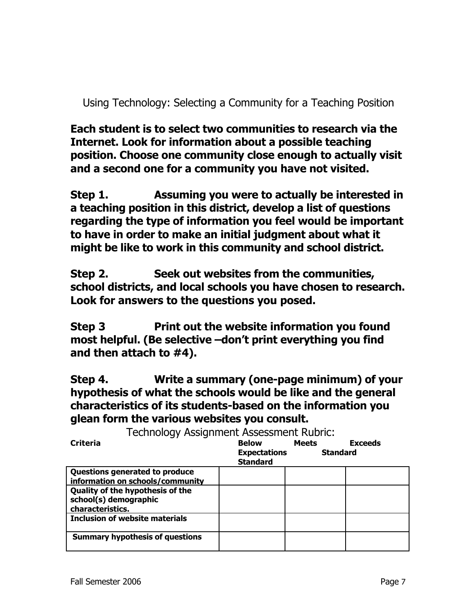Using Technology: Selecting a Community for a Teaching Position

**Each student is to select two communities to research via the Internet. Look for information about a possible teaching position. Choose one community close enough to actually visit and a second one for a community you have not visited.**

**Step 1. Assuming you were to actually be interested in a teaching position in this district, develop a list of questions regarding the type of information you feel would be important to have in order to make an initial judgment about what it might be like to work in this community and school district.**

**Step 2. Seek out websites from the communities, school districts, and local schools you have chosen to research. Look for answers to the questions you posed.**

**Step 3 Print out the website information you found most helpful. (Be selective –don't print everything you find and then attach to #4).**

**Step 4. Write a summary (one-page minimum) of your hypothesis of what the schools would be like and the general characteristics of its students-based on the information you glean form the various websites you consult.**

Technology Assignment Assessment Rubric: **Criteria Below Meets Exceeds Expectations Standard Standard Questions generated to produce information on schools/community Quality of the hypothesis of the school(s) demographic characteristics. Inclusion of website materials Summary hypothesis of questions**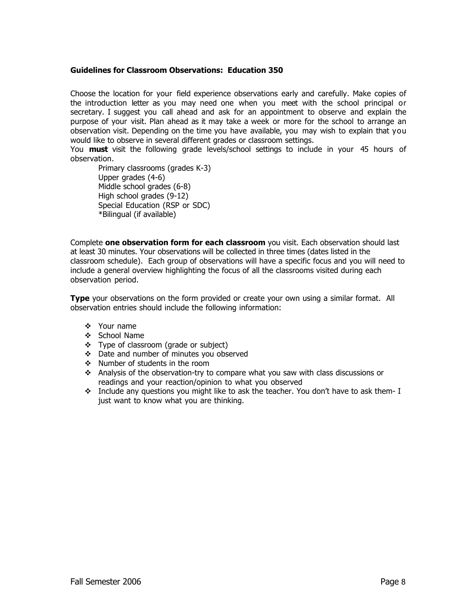## **Guidelines for Classroom Observations: Education 350**

Choose the location for your field experience observations early and carefully. Make copies of the introduction letter as you may need one when you meet with the school principal or secretary. I suggest you call ahead and ask for an appointment to observe and explain the purpose of your visit. Plan ahead as it may take a week or more for the school to arrange an observation visit. Depending on the time you have available, you may wish to explain that you would like to observe in several different grades or classroom settings.

You **must** visit the following grade levels/school settings to include in your 45 hours of observation.

Primary classrooms (grades K-3) Upper grades (4-6) Middle school grades (6-8) High school grades (9-12) Special Education (RSP or SDC) \*Bilingual (if available)

Complete **one observation form for each classroom** you visit. Each observation should last at least 30 minutes. Your observations will be collected in three times (dates listed in the classroom schedule). Each group of observations will have a specific focus and you will need to include a general overview highlighting the focus of all the classrooms visited during each observation period.

**Type** your observations on the form provided or create your own using a similar format. All observation entries should include the following information:

- $\mathbf{\hat{v}}$  Your name
- v School Name
- \* Type of classroom (grade or subject)
- v Date and number of minutes you observed
- $\div$  Number of students in the room
- Analysis of the observation-try to compare what you saw with class discussions or readings and your reaction/opinion to what you observed
- $\cdot \cdot$  Include any questions you might like to ask the teacher. You don't have to ask them- I just want to know what you are thinking.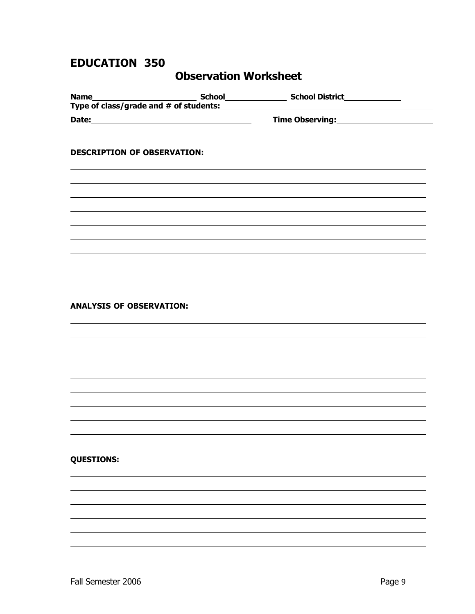## **EDUCATION 350**

## **Observation Worksheet**

| <b>DESCRIPTION OF OBSERVATION:</b> |  |  |
|------------------------------------|--|--|
|                                    |  |  |
|                                    |  |  |
|                                    |  |  |
|                                    |  |  |
|                                    |  |  |
|                                    |  |  |
|                                    |  |  |

### **ANALYSIS OF OBSERVATION:**

## **QUESTIONS:**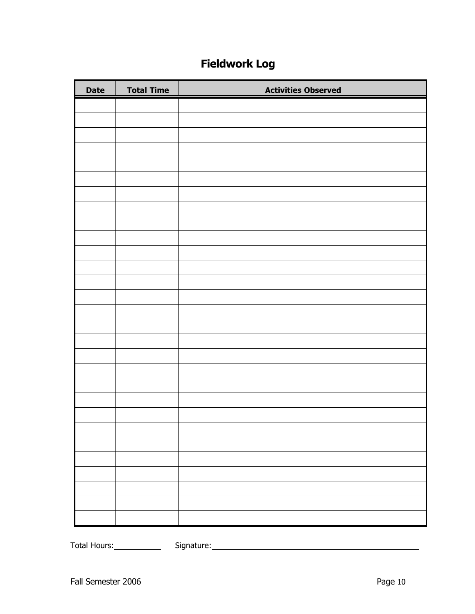## **Fieldwork Log**

| <b>Date</b> | <b>Total Time</b> | <b>Activities Observed</b> |
|-------------|-------------------|----------------------------|
|             |                   |                            |
|             |                   |                            |
|             |                   |                            |
|             |                   |                            |
|             |                   |                            |
|             |                   |                            |
|             |                   |                            |
|             |                   |                            |
|             |                   |                            |
|             |                   |                            |
|             |                   |                            |
|             |                   |                            |
|             |                   |                            |
|             |                   |                            |
|             |                   |                            |
|             |                   |                            |
|             |                   |                            |
|             |                   |                            |
|             |                   |                            |
|             |                   |                            |
|             |                   |                            |
|             |                   |                            |
|             |                   |                            |
|             |                   |                            |
|             |                   |                            |
|             |                   |                            |
|             |                   |                            |
|             |                   |                            |

Total Hours: Signature: Signature: Signature: Signature: Signature: Signature: Signature: Signature: Signature: Signature: Signature: Signature: Signature: Signature: Signature: Signature: Signature: Signature: Signature: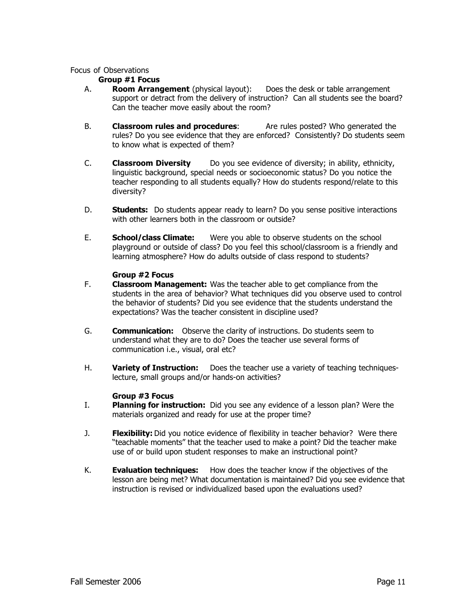### Focus of Observations

### **Group #1 Focus**

- A. **Room Arrangement** (physical layout): Does the desk or table arrangement support or detract from the delivery of instruction? Can all students see the board? Can the teacher move easily about the room?
- B. **Classroom rules and procedures**: Are rules posted? Who generated the rules? Do you see evidence that they are enforced? Consistently? Do students seem to know what is expected of them?
- C. **Classroom Diversity** Do you see evidence of diversity; in ability, ethnicity, linguistic background, special needs or socioeconomic status? Do you notice the teacher responding to all students equally? How do students respond/relate to this diversity?
- D. **Students:** Do students appear ready to learn? Do you sense positive interactions with other learners both in the classroom or outside?
- E. **School/class Climate:** Were you able to observe students on the school playground or outside of class? Do you feel this school/classroom is a friendly and learning atmosphere? How do adults outside of class respond to students?

#### **Group #2 Focus**

- F. **Classroom Management:** Was the teacher able to get compliance from the students in the area of behavior? What techniques did you observe used to control the behavior of students? Did you see evidence that the students understand the expectations? Was the teacher consistent in discipline used?
- G. **Communication:** Observe the clarity of instructions. Do students seem to understand what they are to do? Does the teacher use several forms of communication i.e., visual, oral etc?
- H. **Variety of Instruction:** Does the teacher use a variety of teaching techniqueslecture, small groups and/or hands-on activities?

## **Group #3 Focus**

- I. **Planning for instruction:** Did you see any evidence of a lesson plan? Were the materials organized and ready for use at the proper time?
- J. **Flexibility:** Did you notice evidence of flexibility in teacher behavior? Were there "teachable moments" that the teacher used to make a point? Did the teacher make use of or build upon student responses to make an instructional point?
- K. **Evaluation techniques:** How does the teacher know if the objectives of the lesson are being met? What documentation is maintained? Did you see evidence that instruction is revised or individualized based upon the evaluations used?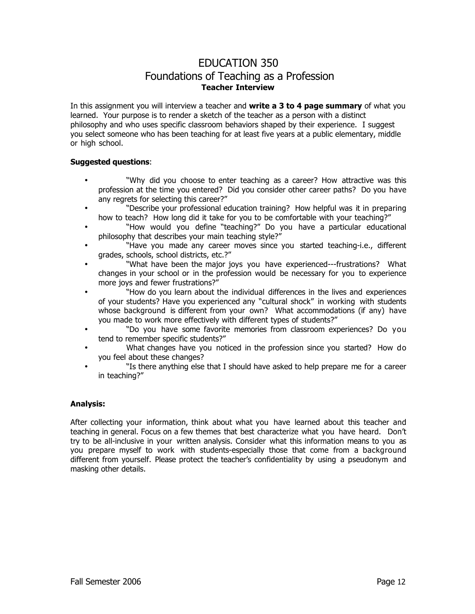## EDUCATION 350 Foundations of Teaching as a Profession **Teacher Interview**

In this assignment you will interview a teacher and **write a 3 to 4 page summary** of what you learned. Your purpose is to render a sketch of the teacher as a person with a distinct philosophy and who uses specific classroom behaviors shaped by their experience. I suggest you select someone who has been teaching for at least five years at a public elementary, middle or high school.

#### **Suggested questions**:

"Why did you choose to enter teaching as a career? How attractive was this profession at the time you entered? Did you consider other career paths? Do you have any regrets for selecting this career?"

"Describe your professional education training? How helpful was it in preparing how to teach? How long did it take for you to be comfortable with your teaching?"

"How would you define "teaching?" Do you have a particular educational philosophy that describes your main teaching style?"

"Have you made any career moves since you started teaching-i.e., different grades, schools, school districts, etc.?"

"What have been the major joys you have experienced---frustrations? What changes in your school or in the profession would be necessary for you to experience more joys and fewer frustrations?"

"How do you learn about the individual differences in the lives and experiences of your students? Have you experienced any "cultural shock" in working with students whose background is different from your own? What accommodations (if any) have you made to work more effectively with different types of students?"

"Do you have some favorite memories from classroom experiences? Do you tend to remember specific students?"

What changes have you noticed in the profession since you started? How do you feel about these changes?

"Is there anything else that I should have asked to help prepare me for a career in teaching?"

#### **Analysis:**

After collecting your information, think about what you have learned about this teacher and teaching in general. Focus on a few themes that best characterize what you have heard. Don't try to be all-inclusive in your written analysis. Consider what this information means to you as you prepare myself to work with students-especially those that come from a background different from yourself. Please protect the teacher's confidentiality by using a pseudonym and masking other details.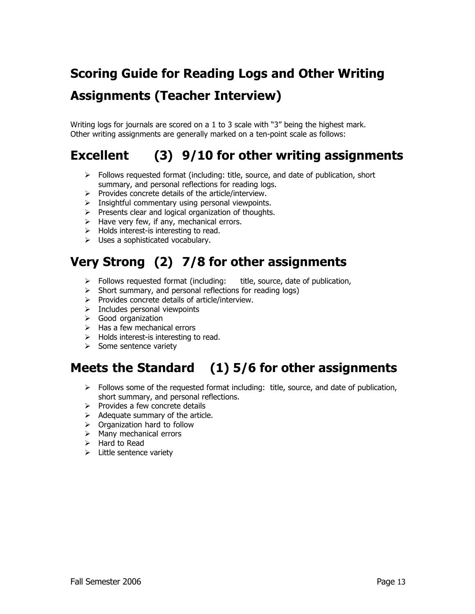# **Scoring Guide for Reading Logs and Other Writing Assignments (Teacher Interview)**

Writing logs for journals are scored on a 1 to 3 scale with "3" being the highest mark. Other writing assignments are generally marked on a ten-point scale as follows:

## **Excellent (3) 9/10 for other writing assignments**

- $\triangleright$  Follows requested format (including: title, source, and date of publication, short summary, and personal reflections for reading logs.
- $\triangleright$  Provides concrete details of the article/interview.
- $\triangleright$  Insightful commentary using personal viewpoints.
- $\triangleright$  Presents clear and logical organization of thoughts.
- $\triangleright$  Have very few, if any, mechanical errors.
- $\triangleright$  Holds interest-is interesting to read.
- $\triangleright$  Uses a sophisticated vocabulary.

## **Very Strong (2) 7/8 for other assignments**

- $\triangleright$  Follows requested format (including: title, source, date of publication,
- $\triangleright$  Short summary, and personal reflections for reading logs)
- $\triangleright$  Provides concrete details of article/interview.
- $\triangleright$  Includes personal viewpoints
- $\triangleright$  Good organization
- $\triangleright$  Has a few mechanical errors
- $\triangleright$  Holds interest-is interesting to read.
- $\triangleright$  Some sentence variety

## **Meets the Standard (1) 5/6 for other assignments**

- $\triangleright$  Follows some of the requested format including: title, source, and date of publication, short summary, and personal reflections.
- $\triangleright$  Provides a few concrete details
- $\triangleright$  Adequate summary of the article.
- $\triangleright$  Organization hard to follow
- $\triangleright$  Many mechanical errors
- $\triangleright$  Hard to Read
- $\triangleright$  Little sentence variety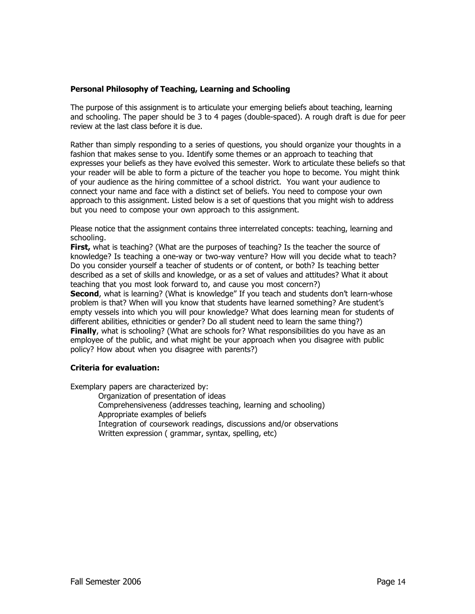### **Personal Philosophy of Teaching, Learning and Schooling**

The purpose of this assignment is to articulate your emerging beliefs about teaching, learning and schooling. The paper should be 3 to 4 pages (double-spaced). A rough draft is due for peer review at the last class before it is due.

Rather than simply responding to a series of questions, you should organize your thoughts in a fashion that makes sense to you. Identify some themes or an approach to teaching that expresses your beliefs as they have evolved this semester. Work to articulate these beliefs so that your reader will be able to form a picture of the teacher you hope to become. You might think of your audience as the hiring committee of a school district. You want your audience to connect your name and face with a distinct set of beliefs. You need to compose your own approach to this assignment. Listed below is a set of questions that you might wish to address but you need to compose your own approach to this assignment.

Please notice that the assignment contains three interrelated concepts: teaching, learning and schooling.

**First,** what is teaching? (What are the purposes of teaching? Is the teacher the source of knowledge? Is teaching a one-way or two-way venture? How will you decide what to teach? Do you consider yourself a teacher of students or of content, or both? Is teaching better described as a set of skills and knowledge, or as a set of values and attitudes? What it about teaching that you most look forward to, and cause you most concern?)

**Second**, what is learning? (What is knowledge" If you teach and students don't learn-whose problem is that? When will you know that students have learned something? Are student's empty vessels into which you will pour knowledge? What does learning mean for students of different abilities, ethnicities or gender? Do all student need to learn the same thing?) **Finally**, what is schooling? (What are schools for? What responsibilities do you have as an employee of the public, and what might be your approach when you disagree with public policy? How about when you disagree with parents?)

## **Criteria for evaluation:**

Exemplary papers are characterized by:

- Organization of presentation of ideas
- Comprehensiveness (addresses teaching, learning and schooling) Appropriate examples of beliefs
- Integration of coursework readings, discussions and/or observations Written expression ( grammar, syntax, spelling, etc)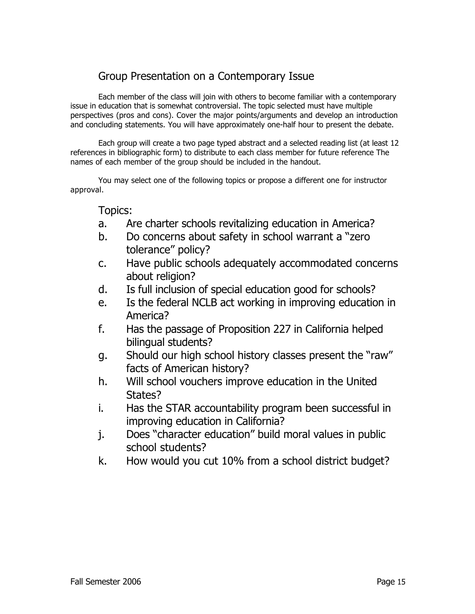## Group Presentation on a Contemporary Issue

Each member of the class will join with others to become familiar with a contemporary issue in education that is somewhat controversial. The topic selected must have multiple perspectives (pros and cons). Cover the major points/arguments and develop an introduction and concluding statements. You will have approximately one-half hour to present the debate.

Each group will create a two page typed abstract and a selected reading list (at least 12 references in bibliographic form) to distribute to each class member for future reference The names of each member of the group should be included in the handout.

You may select one of the following topics or propose a different one for instructor approval.

Topics:

- a. Are charter schools revitalizing education in America?
- b. Do concerns about safety in school warrant a "zero tolerance" policy?
- c. Have public schools adequately accommodated concerns about religion?
- d. Is full inclusion of special education good for schools?
- e. Is the federal NCLB act working in improving education in America?
- f. Has the passage of Proposition 227 in California helped bilingual students?
- g. Should our high school history classes present the "raw" facts of American history?
- h. Will school vouchers improve education in the United States?
- i. Has the STAR accountability program been successful in improving education in California?
- j. Does "character education" build moral values in public school students?
- k. How would you cut 10% from a school district budget?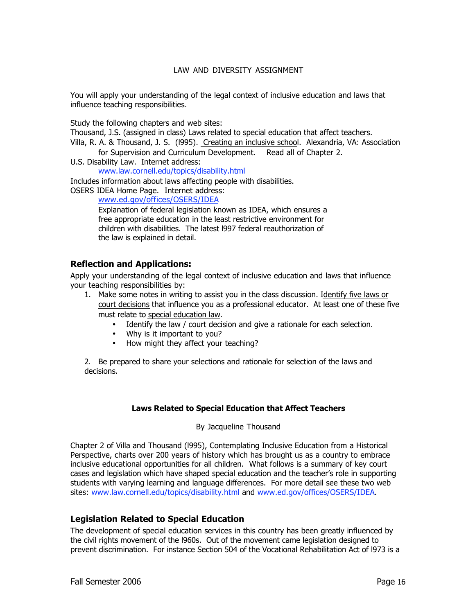## LAW AND DIVERSITY ASSIGNMENT

You will apply your understanding of the legal context of inclusive education and laws that influence teaching responsibilities.

Study the following chapters and web sites:

Thousand, J.S. (assigned in class) Laws related to special education that affect teachers.

Villa, R. A. & Thousand, J. S. (l995). Creating an inclusive school. Alexandria, VA: Association for Supervision and Curriculum Development. Read all of Chapter 2.

U.S. Disability Law. Internet address: www.law.cornell.edu/topics/disability.html

Includes information about laws affecting people with disabilities.

OSERS IDEA Home Page. Internet address:

www.ed.gov/offices/OSERS/IDEA

Explanation of federal legislation known as IDEA, which ensures a free appropriate education in the least restrictive environment for children with disabilities. The latest l997 federal reauthorization of the law is explained in detail.

## **Reflection and Applications:**

Apply your understanding of the legal context of inclusive education and laws that influence your teaching responsibilities by:

1. Make some notes in writing to assist you in the class discussion. Identify five laws or court decisions that influence you as a professional educator. At least one of these five must relate to special education law.

> Identify the law / court decision and give a rationale for each selection. Why is it important to you? How might they affect your teaching?

2. Be prepared to share your selections and rationale for selection of the laws and decisions.

## **Laws Related to Special Education that Affect Teachers**

By Jacqueline Thousand

Chapter 2 of Villa and Thousand (l995), Contemplating Inclusive Education from a Historical Perspective, charts over 200 years of history which has brought us as a country to embrace inclusive educational opportunities for all children. What follows is a summary of key court cases and legislation which have shaped special education and the teacher's role in supporting students with varying learning and language differences. For more detail see these two web sites: www.law.cornell.edu/topics/disability.html and www.ed.gov/offices/OSERS/IDEA.

## **Legislation Related to Special Education**

The development of special education services in this country has been greatly influenced by the civil rights movement of the l960s. Out of the movement came legislation designed to prevent discrimination. For instance Section 504 of the Vocational Rehabilitation Act of l973 is a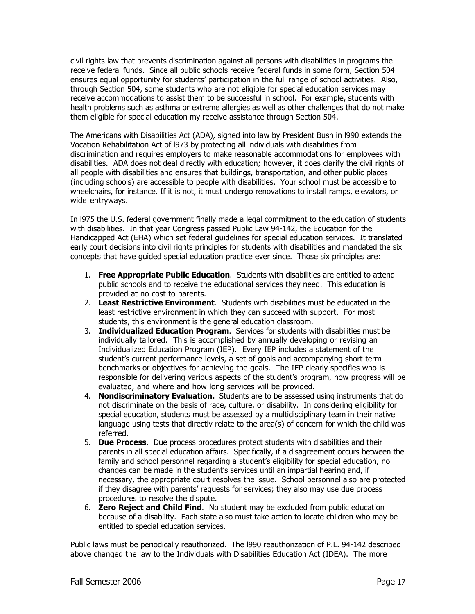civil rights law that prevents discrimination against all persons with disabilities in programs the receive federal funds. Since all public schools receive federal funds in some form, Section 504 ensures equal opportunity for students' participation in the full range of school activities. Also, through Section 504, some students who are not eligible for special education services may receive accommodations to assist them to be successful in school. For example, students with health problems such as asthma or extreme allergies as well as other challenges that do not make them eligible for special education my receive assistance through Section 504.

The Americans with Disabilities Act (ADA), signed into law by President Bush in l990 extends the Vocation Rehabilitation Act of l973 by protecting all individuals with disabilities from discrimination and requires employers to make reasonable accommodations for employees with disabilities. ADA does not deal directly with education; however, it does clarify the civil rights of all people with disabilities and ensures that buildings, transportation, and other public places (including schools) are accessible to people with disabilities. Your school must be accessible to wheelchairs, for instance. If it is not, it must undergo renovations to install ramps, elevators, or wide entryways.

In l975 the U.S. federal government finally made a legal commitment to the education of students with disabilities. In that year Congress passed Public Law 94-142, the Education for the Handicapped Act (EHA) which set federal guidelines for special education services. It translated early court decisions into civil rights principles for students with disabilities and mandated the six concepts that have guided special education practice ever since. Those six principles are:

- 1. **Free Appropriate Public Education**. Students with disabilities are entitled to attend public schools and to receive the educational services they need. This education is provided at no cost to parents.
- 2. **Least Restrictive Environment**. Students with disabilities must be educated in the least restrictive environment in which they can succeed with support. For most students, this environment is the general education classroom.
- 3. **Individualized Education Program**. Services for students with disabilities must be individually tailored. This is accomplished by annually developing or revising an Individualized Education Program (IEP). Every IEP includes a statement of the student's current performance levels, a set of goals and accompanying short-term benchmarks or objectives for achieving the goals. The IEP clearly specifies who is responsible for delivering various aspects of the student's program, how progress will be evaluated, and where and how long services will be provided.
- 4. **Nondiscriminatory Evaluation.** Students are to be assessed using instruments that do not discriminate on the basis of race, culture, or disability. In considering eligibility for special education, students must be assessed by a multidisciplinary team in their native language using tests that directly relate to the area(s) of concern for which the child was referred.
- 5. **Due Process**. Due process procedures protect students with disabilities and their parents in all special education affairs. Specifically, if a disagreement occurs between the family and school personnel regarding a student's eligibility for special education, no changes can be made in the student's services until an impartial hearing and, if necessary, the appropriate court resolves the issue. School personnel also are protected if they disagree with parents' requests for services; they also may use due process procedures to resolve the dispute.
- 6. **Zero Reject and Child Find**. No student may be excluded from public education because of a disability. Each state also must take action to locate children who may be entitled to special education services.

Public laws must be periodically reauthorized. The l990 reauthorization of P.L. 94-142 described above changed the law to the Individuals with Disabilities Education Act (IDEA). The more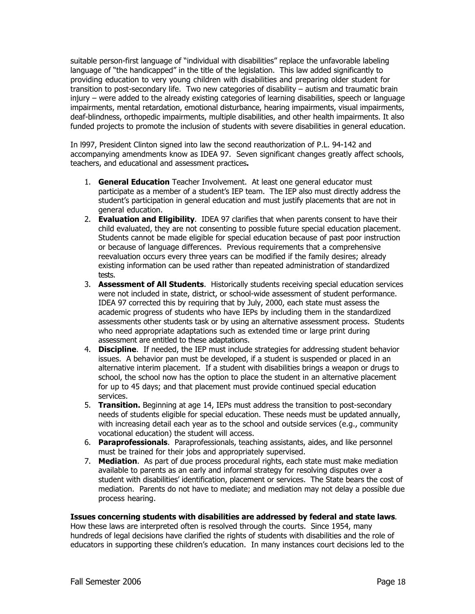suitable person-first language of "individual with disabilities" replace the unfavorable labeling language of "the handicapped" in the title of the legislation. This law added significantly to providing education to very young children with disabilities and preparing older student for transition to post-secondary life. Two new categories of disability – autism and traumatic brain injury – were added to the already existing categories of learning disabilities, speech or language impairments, mental retardation, emotional disturbance, hearing impairments, visual impairments, deaf-blindness, orthopedic impairments, multiple disabilities, and other health impairments. It also funded projects to promote the inclusion of students with severe disabilities in general education.

In l997, President Clinton signed into law the second reauthorization of P.L. 94-142 and accompanying amendments know as IDEA 97. Seven significant changes greatly affect schools, teachers, and educational and assessment practices**.**

- 1. **General Education** Teacher Involvement. At least one general educator must participate as a member of a student's IEP team. The IEP also must directly address the student's participation in general education and must justify placements that are not in general education.
- 2. **Evaluation and Eligibility**. IDEA 97 clarifies that when parents consent to have their child evaluated, they are not consenting to possible future special education placement. Students cannot be made eligible for special education because of past poor instruction or because of language differences. Previous requirements that a comprehensive reevaluation occurs every three years can be modified if the family desires; already existing information can be used rather than repeated administration of standardized tests.
- 3. **Assessment of All Students**. Historically students receiving special education services were not included in state, district, or school-wide assessment of student performance. IDEA 97 corrected this by requiring that by July, 2000, each state must assess the academic progress of students who have IEPs by including them in the standardized assessments other students task or by using an alternative assessment process. Students who need appropriate adaptations such as extended time or large print during assessment are entitled to these adaptations.
- 4. **Discipline**. If needed, the IEP must include strategies for addressing student behavior issues. A behavior pan must be developed, if a student is suspended or placed in an alternative interim placement. If a student with disabilities brings a weapon or drugs to school, the school now has the option to place the student in an alternative placement for up to 45 days; and that placement must provide continued special education services.
- 5. **Transition.** Beginning at age 14, IEPs must address the transition to post-secondary needs of students eligible for special education. These needs must be updated annually, with increasing detail each year as to the school and outside services (e.g., community vocational education) the student will access.
- 6. **Paraprofessionals**. Paraprofessionals, teaching assistants, aides, and like personnel must be trained for their jobs and appropriately supervised.
- 7. **Mediation**. As part of due process procedural rights, each state must make mediation available to parents as an early and informal strategy for resolving disputes over a student with disabilities' identification, placement or services. The State bears the cost of mediation. Parents do not have to mediate; and mediation may not delay a possible due process hearing.

## **Issues concerning students with disabilities are addressed by federal and state laws**.

How these laws are interpreted often is resolved through the courts. Since 1954, many hundreds of legal decisions have clarified the rights of students with disabilities and the role of educators in supporting these children's education. In many instances court decisions led to the